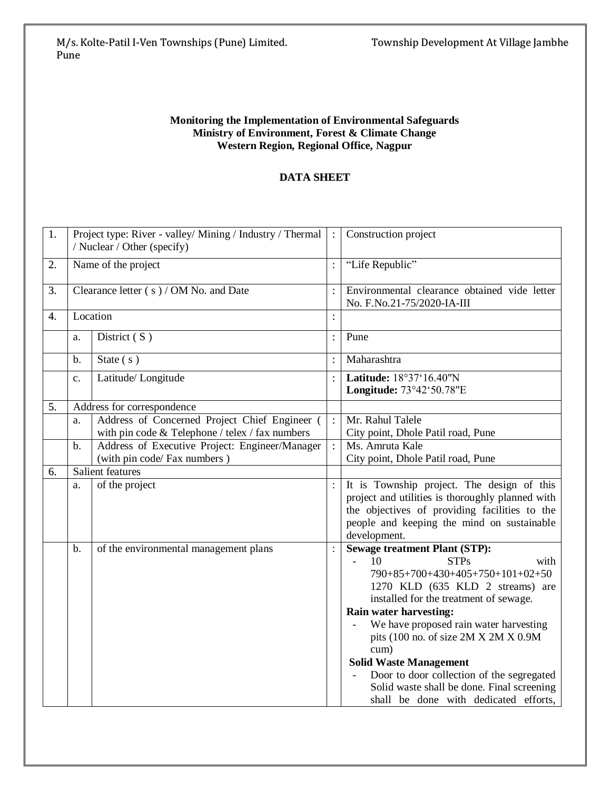## **Monitoring the Implementation of Environmental Safeguards Ministry of Environment, Forest & Climate Change Western Region, Regional Office, Nagpur**

## **DATA SHEET**

| 1. | Project type: River - valley/ Mining / Industry / Thermal |                                                                                                  |                      | Construction project                                                                                                                                                                                                                                                                                                                                                                                                                                                                     |
|----|-----------------------------------------------------------|--------------------------------------------------------------------------------------------------|----------------------|------------------------------------------------------------------------------------------------------------------------------------------------------------------------------------------------------------------------------------------------------------------------------------------------------------------------------------------------------------------------------------------------------------------------------------------------------------------------------------------|
|    | / Nuclear / Other (specify)                               |                                                                                                  |                      |                                                                                                                                                                                                                                                                                                                                                                                                                                                                                          |
| 2. | Name of the project                                       |                                                                                                  | $\ddot{\cdot}$       | "Life Republic"                                                                                                                                                                                                                                                                                                                                                                                                                                                                          |
| 3. | Clearance letter (s) / OM No. and Date                    |                                                                                                  |                      | Environmental clearance obtained vide letter<br>No. F.No.21-75/2020-IA-III                                                                                                                                                                                                                                                                                                                                                                                                               |
| 4. | Location                                                  |                                                                                                  | $\ddot{\cdot}$       |                                                                                                                                                                                                                                                                                                                                                                                                                                                                                          |
|    | a.                                                        | District (S)                                                                                     | $\ddot{\cdot}$       | Pune                                                                                                                                                                                                                                                                                                                                                                                                                                                                                     |
|    | b.                                                        | State $(s)$                                                                                      |                      | Maharashtra                                                                                                                                                                                                                                                                                                                                                                                                                                                                              |
|    | $\mathbf{c}$ .                                            | Latitude/Longitude                                                                               | $\ddot{\phantom{0}}$ | Latitude: 18°37'16.40"N<br>Longitude: 73°42'50.78"E                                                                                                                                                                                                                                                                                                                                                                                                                                      |
| 5. |                                                           | Address for correspondence                                                                       |                      |                                                                                                                                                                                                                                                                                                                                                                                                                                                                                          |
|    | a.                                                        | Address of Concerned Project Chief Engineer (<br>with pin code & Telephone / telex / fax numbers | $\ddot{\cdot}$       | Mr. Rahul Talele<br>City point, Dhole Patil road, Pune                                                                                                                                                                                                                                                                                                                                                                                                                                   |
|    | b.                                                        | Address of Executive Project: Engineer/Manager<br>(with pin code/ Fax numbers)                   | $\mathcal{L}^{\pm}$  | Ms. Amruta Kale<br>City point, Dhole Patil road, Pune                                                                                                                                                                                                                                                                                                                                                                                                                                    |
| 6. |                                                           | Salient features                                                                                 |                      |                                                                                                                                                                                                                                                                                                                                                                                                                                                                                          |
|    | a.                                                        | of the project                                                                                   |                      | It is Township project. The design of this<br>project and utilities is thoroughly planned with<br>the objectives of providing facilities to the<br>people and keeping the mind on sustainable<br>development.                                                                                                                                                                                                                                                                            |
|    | b.                                                        | of the environmental management plans                                                            |                      | <b>Sewage treatment Plant (STP):</b><br>10<br><b>STPs</b><br>with<br>$\equiv$<br>790+85+700+430+405+750+101+02+50<br>1270 KLD (635 KLD 2 streams) are<br>installed for the treatment of sewage.<br>Rain water harvesting:<br>We have proposed rain water harvesting<br>pits (100 no. of size 2M X 2M X 0.9M<br>cum)<br><b>Solid Waste Management</b><br>Door to door collection of the segregated<br>Solid waste shall be done. Final screening<br>shall be done with dedicated efforts, |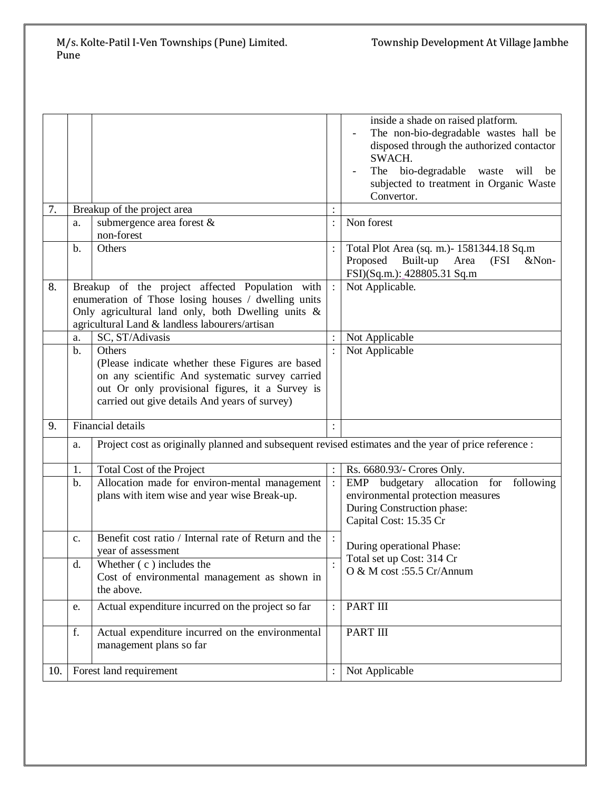## M/s. Kolte-Patil I-Ven Townships (Pune) Limited. Township Development At Village Jambhe Pune

| 7.  |                         | Breakup of the project area                                                                            |                | inside a shade on raised platform.<br>The non-bio-degradable wastes hall be<br>disposed through the authorized contactor<br>SWACH.<br>The bio-degradable waste<br>will<br>be<br>subjected to treatment in Organic Waste<br>Convertor. |
|-----|-------------------------|--------------------------------------------------------------------------------------------------------|----------------|---------------------------------------------------------------------------------------------------------------------------------------------------------------------------------------------------------------------------------------|
|     | a.                      | submergence area forest &                                                                              |                | Non forest                                                                                                                                                                                                                            |
|     |                         | non-forest                                                                                             |                |                                                                                                                                                                                                                                       |
|     | b.                      | Others                                                                                                 |                | Total Plot Area (sq. m.) - 1581344.18 Sq.m                                                                                                                                                                                            |
|     |                         |                                                                                                        |                | Proposed<br>Built-up Area<br>(FSI<br>$&$ Non-<br>FSI)(Sq.m.): 428805.31 Sq.m                                                                                                                                                          |
| 8.  |                         | Breakup of the project affected Population with<br>enumeration of Those losing houses / dwelling units |                | Not Applicable.                                                                                                                                                                                                                       |
|     |                         | Only agricultural land only, both Dwelling units &                                                     |                |                                                                                                                                                                                                                                       |
|     |                         | agricultural Land & landless labourers/artisan                                                         |                |                                                                                                                                                                                                                                       |
|     | a.                      | SC, ST/Adivasis                                                                                        |                | Not Applicable                                                                                                                                                                                                                        |
|     | b.                      | Others                                                                                                 |                | Not Applicable                                                                                                                                                                                                                        |
|     |                         | (Please indicate whether these Figures are based                                                       |                |                                                                                                                                                                                                                                       |
|     |                         | on any scientific And systematic survey carried                                                        |                |                                                                                                                                                                                                                                       |
|     |                         | out Or only provisional figures, it a Survey is<br>carried out give details And years of survey)       |                |                                                                                                                                                                                                                                       |
|     |                         |                                                                                                        |                |                                                                                                                                                                                                                                       |
| 9.  |                         | <b>Financial details</b>                                                                               | $\cdot$        |                                                                                                                                                                                                                                       |
|     | a.                      | Project cost as originally planned and subsequent revised estimates and the year of price reference :  |                |                                                                                                                                                                                                                                       |
|     | 1.                      | Total Cost of the Project                                                                              |                | Rs. 6680.93/- Crores Only.                                                                                                                                                                                                            |
|     | b.                      | Allocation made for environ-mental management                                                          | $\ddot{\cdot}$ | EMP<br>budgetary allocation for<br>following                                                                                                                                                                                          |
|     |                         | plans with item wise and year wise Break-up.                                                           |                | environmental protection measures                                                                                                                                                                                                     |
|     |                         |                                                                                                        |                | During Construction phase:<br>Capital Cost: 15.35 Cr                                                                                                                                                                                  |
|     |                         |                                                                                                        |                |                                                                                                                                                                                                                                       |
|     | c.                      | Benefit cost ratio / Internal rate of Return and the<br>year of assessment                             |                | During operational Phase:                                                                                                                                                                                                             |
|     | d.                      | Whether $(c)$ includes the                                                                             |                | Total set up Cost: 314 Cr                                                                                                                                                                                                             |
|     |                         | Cost of environmental management as shown in                                                           |                | O & M cost :55.5 Cr/Annum                                                                                                                                                                                                             |
|     |                         | the above.                                                                                             |                |                                                                                                                                                                                                                                       |
|     | e.                      | Actual expenditure incurred on the project so far                                                      |                | <b>PART III</b>                                                                                                                                                                                                                       |
|     | f.                      | Actual expenditure incurred on the environmental                                                       |                | <b>PART III</b>                                                                                                                                                                                                                       |
|     |                         | management plans so far                                                                                |                |                                                                                                                                                                                                                                       |
|     |                         |                                                                                                        |                |                                                                                                                                                                                                                                       |
| 10. | Forest land requirement |                                                                                                        |                | Not Applicable                                                                                                                                                                                                                        |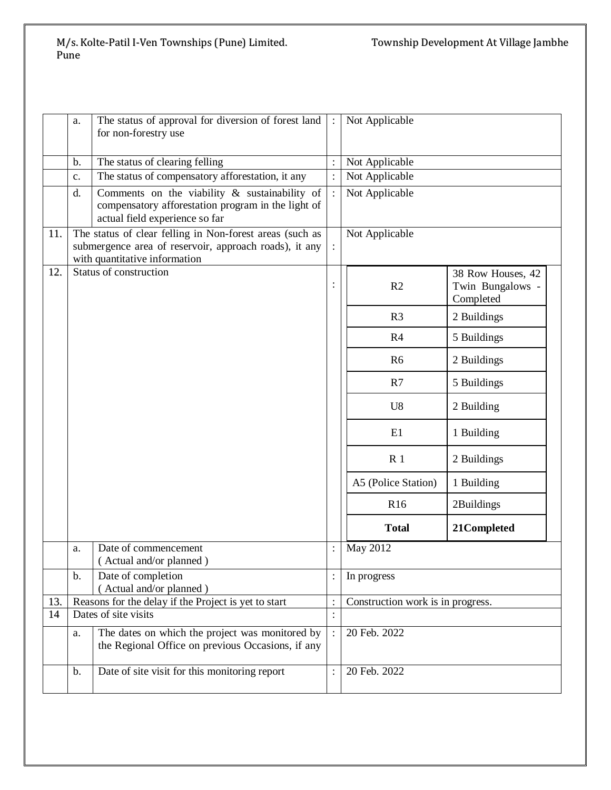|     | a.             | The status of approval for diversion of forest land                                                                                                 |                      | Not Applicable                    |                                                    |
|-----|----------------|-----------------------------------------------------------------------------------------------------------------------------------------------------|----------------------|-----------------------------------|----------------------------------------------------|
|     |                | for non-forestry use                                                                                                                                |                      |                                   |                                                    |
|     | b.             | The status of clearing felling                                                                                                                      |                      | Not Applicable                    |                                                    |
|     | $\mathbf{c}$ . | The status of compensatory afforestation, it any                                                                                                    | $\ddot{\cdot}$       | Not Applicable                    |                                                    |
|     | d.             | Comments on the viability $\&$ sustainability of<br>compensatory afforestation program in the light of<br>actual field experience so far            |                      | Not Applicable                    |                                                    |
| 11. |                | The status of clear felling in Non-forest areas (such as<br>submergence area of reservoir, approach roads), it any<br>with quantitative information | ÷                    | Not Applicable                    |                                                    |
| 12. |                | Status of construction                                                                                                                              |                      | R <sub>2</sub>                    | 38 Row Houses, 42<br>Twin Bungalows -<br>Completed |
|     |                |                                                                                                                                                     |                      | R <sub>3</sub>                    | 2 Buildings                                        |
|     |                |                                                                                                                                                     |                      | R4                                | 5 Buildings                                        |
|     |                |                                                                                                                                                     |                      | R <sub>6</sub>                    | 2 Buildings                                        |
|     |                |                                                                                                                                                     |                      | R7                                | 5 Buildings                                        |
|     |                |                                                                                                                                                     |                      | U <sub>8</sub>                    | 2 Building                                         |
|     |                |                                                                                                                                                     |                      | E1                                | 1 Building                                         |
|     |                |                                                                                                                                                     |                      | R <sub>1</sub>                    | 2 Buildings                                        |
|     |                |                                                                                                                                                     |                      | A5 (Police Station)               | 1 Building                                         |
|     |                |                                                                                                                                                     |                      | R <sub>16</sub>                   | 2Buildings                                         |
|     |                |                                                                                                                                                     |                      | <b>Total</b>                      | 21Completed                                        |
|     | a.             | Date of commencement<br>(Actual and/or planned)                                                                                                     | $\ddot{\phantom{a}}$ | May 2012                          |                                                    |
|     | b.             | Date of completion<br>Actual and/or planned)                                                                                                        |                      | In progress                       |                                                    |
| 13. |                | Reasons for the delay if the Project is yet to start                                                                                                | $\ddot{\cdot}$       | Construction work is in progress. |                                                    |
| 14  |                | Dates of site visits                                                                                                                                | $\vdots$             |                                   |                                                    |
|     | a.             | The dates on which the project was monitored by<br>the Regional Office on previous Occasions, if any                                                |                      | 20 Feb. 2022                      |                                                    |
|     | $\mathbf b$ .  | Date of site visit for this monitoring report                                                                                                       |                      | 20 Feb. 2022                      |                                                    |